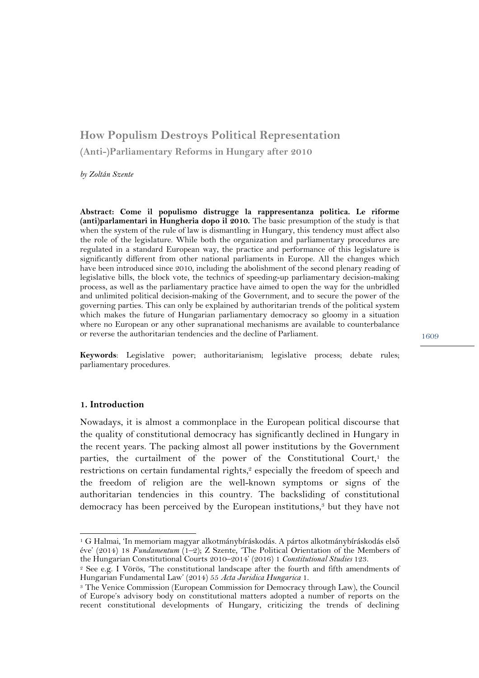# **How Populism Destroys Political Representation (Anti-)Parliamentary Reforms in Hungary after 2010**

*by Zoltán Szente*

**Abstract: Come il populismo distrugge la rappresentanza politica. Le riforme (anti)parlamentari in Hungheria dopo il 2010.** The basic presumption of the study is that when the system of the rule of law is dismantling in Hungary, this tendency must affect also the role of the legislature. While both the organization and parliamentary procedures are regulated in a standard European way, the practice and performance of this legislature is significantly different from other national parliaments in Europe. All the changes which have been introduced since 2010, including the abolishment of the second plenary reading of legislative bills, the block vote, the technics of speeding-up parliamentary decision-making process, as well as the parliamentary practice have aimed to open the way for the unbridled and unlimited political decision-making of the Government, and to secure the power of the governing parties. This can only be explained by authoritarian trends of the political system which makes the future of Hungarian parliamentary democracy so gloomy in a situation where no European or any other supranational mechanisms are available to counterbalance or reverse the authoritarian tendencies and the decline of Parliament.

**Keywords**: Legislative power; authoritarianism; legislative process; debate rules; parliamentary procedures.

#### **1. Introduction**

l

Nowadays, it is almost a commonplace in the European political discourse that the quality of constitutional democracy has significantly declined in Hungary in the recent years. The packing almost all power institutions by the Government parties, the curtailment of the power of the Constitutional Court, $<sup>1</sup>$  the</sup> restrictions on certain fundamental rights,<sup>2</sup> especially the freedom of speech and the freedom of religion are the well-known symptoms or signs of the authoritarian tendencies in this country. The backsliding of constitutional democracy has been perceived by the European institutions,<sup>3</sup> but they have not

<sup>1</sup> G Halmai, 'In memoriam magyar alkotmánybíráskodás. A pártos alkotmánybíráskodás első éve' (2014) 18 *Fundamentum* (1–2); Z Szente, 'The Political Orientation of the Members of the Hungarian Constitutional Courts 2010–2014' (2016) 1 *Constitutional Studies* 123.

<sup>2</sup> See e.g. I Vörös, 'The constitutional landscape after the fourth and fifth amendments of Hungarian Fundamental Law' (2014) 55 *Acta Juridica Hungarica* 1.

<sup>3</sup> The Venice Commission (European Commission for Democracy through Law), the Council of Europe's advisory body on constitutional matters adopted a number of reports on the recent constitutional developments of Hungary, criticizing the trends of declining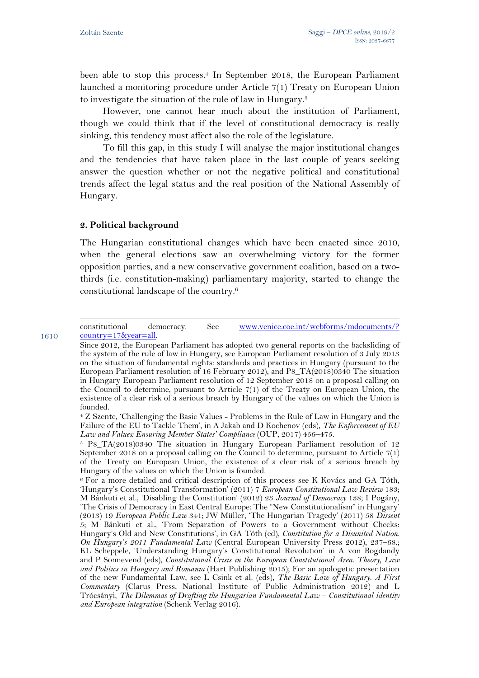been able to stop this process.<sup>4</sup> In September 2018, the European Parliament launched a monitoring procedure under Article 7(1) Treaty on European Union to investigate the situation of the rule of law in Hungary.5

However, one cannot hear much about the institution of Parliament, though we could think that if the level of constitutional democracy is really sinking, this tendency must affect also the role of the legislature.

To fill this gap, in this study I will analyse the major institutional changes and the tendencies that have taken place in the last couple of years seeking answer the question whether or not the negative political and constitutional trends affect the legal status and the real position of the National Assembly of Hungary.

## **2. Political background**

1610

The Hungarian constitutional changes which have been enacted since 2010, when the general elections saw an overwhelming victory for the former opposition parties, and a new conservative government coalition, based on a twothirds (i.e. constitution-making) parliamentary majority, started to change the constitutional landscape of the country.6

l constitutional democracy. See www.venice.coe.int/webforms/mdocuments/? country=17&year=all.

Since 2012, the European Parliament has adopted two general reports on the backsliding of the system of the rule of law in Hungary, see European Parliament resolution of 3 July 2013 on the situation of fundamental rights: standards and practices in Hungary (pursuant to the European Parliament resolution of 16 February 2012), and P8\_TA(2018)0340 The situation in Hungary European Parliament resolution of 12 September 2018 on a proposal calling on the Council to determine, pursuant to Article 7(1) of the Treaty on European Union, the existence of a clear risk of a serious breach by Hungary of the values on which the Union is founded.

<sup>4</sup> Z Szente, 'Challenging the Basic Values - Problems in the Rule of Law in Hungary and the Failure of the EU to Tackle Them', in A Jakab and D Kochenov (eds), *The Enforcement of EU*  Law and Values: Ensuring Member States' Compliance (OUP, 2017) 456-475.

<sup>5</sup> P8\_TA(2018)0340 The situation in Hungary European Parliament resolution of 12 September 2018 on a proposal calling on the Council to determine, pursuant to Article 7(1) of the Treaty on European Union, the existence of a clear risk of a serious breach by Hungary of the values on which the Union is founded.

<sup>6</sup> For a more detailed and critical description of this process see K Kovács and GA Tóth, 'Hungary's Constitutional Transformation' (2011) 7 *European Constitutional Law Review* 183; M Bánkuti et al., 'Disabling the Constitution' (2012) 23 *Journal of Democracy* 138; I Pogány, 'The Crisis of Democracy in East Central Europe: The "New Constitutionalism" in Hungary' (2013) 19 *European Public Law* 341; JW Müller, 'The Hungarian Tragedy' (2011) 58 *Dissent* 5; M Bánkuti et al., 'From Separation of Powers to a Government without Checks: Hungary's Old and New Constitutions', in GA Tóth (ed), *Constitution for a Disunited Nation. On Hungary's 2011 Fundamental Law* (Central European University Press 2012), 237–68.; KL Scheppele, 'Understanding Hungary's Constitutional Revolution' in A von Bogdandy and P Sonnevend (eds), *Constitutional Crisis in the European Constitutional Area. Theory, Law and Politics in Hungary and Romania* (Hart Publishing 2015); For an apologetic presentation of the new Fundamental Law, see L Csink et al. (eds), *The Basic Law of Hungary. A First Commentary* (Clarus Press, National Institute of Public Administration 2012) and L Trócsányi, *The Dilemmas of Drafting the Hungarian Fundamental Law – Constitutional identity and European integration* (Schenk Verlag 2016).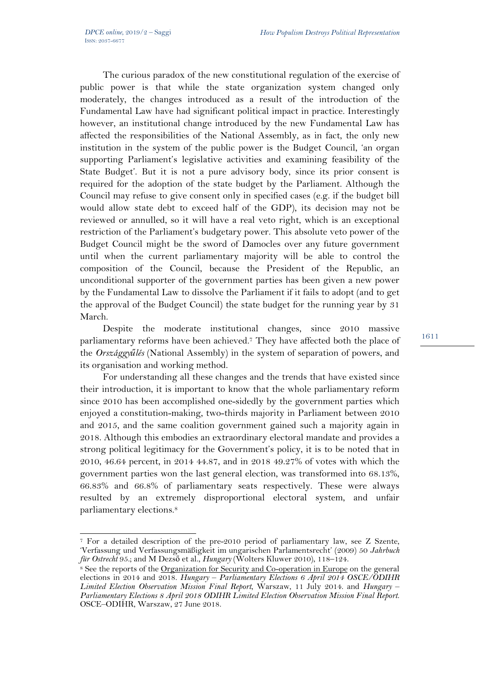l

The curious paradox of the new constitutional regulation of the exercise of public power is that while the state organization system changed only moderately, the changes introduced as a result of the introduction of the Fundamental Law have had significant political impact in practice. Interestingly however, an institutional change introduced by the new Fundamental Law has affected the responsibilities of the National Assembly, as in fact, the only new institution in the system of the public power is the Budget Council, 'an organ supporting Parliament's legislative activities and examining feasibility of the State Budget'. But it is not a pure advisory body, since its prior consent is required for the adoption of the state budget by the Parliament. Although the Council may refuse to give consent only in specified cases (e.g. if the budget bill would allow state debt to exceed half of the GDP), its decision may not be reviewed or annulled, so it will have a real veto right, which is an exceptional restriction of the Parliament's budgetary power. This absolute veto power of the Budget Council might be the sword of Damocles over any future government until when the current parliamentary majority will be able to control the composition of the Council, because the President of the Republic, an unconditional supporter of the government parties has been given a new power by the Fundamental Law to dissolve the Parliament if it fails to adopt (and to get the approval of the Budget Council) the state budget for the running year by 31 March.

Despite the moderate institutional changes, since 2010 massive parliamentary reforms have been achieved.7 They have affected both the place of the *Országgyűlés* (National Assembly) in the system of separation of powers, and its organisation and working method.

For understanding all these changes and the trends that have existed since their introduction, it is important to know that the whole parliamentary reform since 2010 has been accomplished one-sidedly by the government parties which enjoyed a constitution-making, two-thirds majority in Parliament between 2010 and 2015, and the same coalition government gained such a majority again in 2018. Although this embodies an extraordinary electoral mandate and provides a strong political legitimacy for the Government's policy, it is to be noted that in 2010, 46.64 percent, in 2014 44.87, and in 2018 49.27% of votes with which the government parties won the last general election, was transformed into 68.13%, 66.83% and 66.8% of parliamentary seats respectively. These were always resulted by an extremely disproportional electoral system, and unfair parliamentary elections.8

<sup>7</sup> For a detailed description of the pre-2010 period of parliamentary law, see Z Szente, 'Verfassung und Verfassungsmäßigkeit im ungarischen Parlamentsrecht' (2009) 50 *Jahrbuch für Ostrecht* 95.; and M Dezső et al., *Hungary* (Wolters Kluwer 2010), 118–124.

<sup>&</sup>lt;sup>8</sup> See the reports of the Organization for Security and Co-operation in Europe on the general elections in 2014 and 2018. *Hungary – Parliamentary Elections 6 April 2014 OSCE/ODIHR Limited Election Observation Mission Final Report, Warszaw, 11 July 2014. and Hungary – Parliamentary Elections 8 April 2018 ODIHR Limited Election Observation Mission Final Report*. OSCE‒ODIHR, Warszaw, 27 June 2018.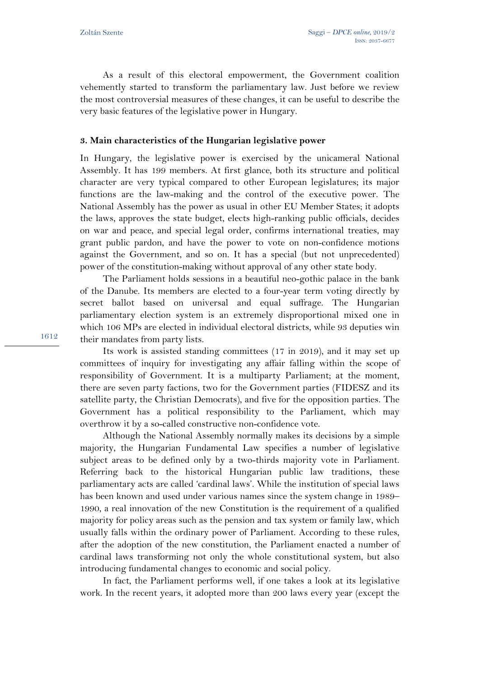As a result of this electoral empowerment, the Government coalition vehemently started to transform the parliamentary law. Just before we review the most controversial measures of these changes, it can be useful to describe the very basic features of the legislative power in Hungary.

#### **3. Main characteristics of the Hungarian legislative power**

In Hungary, the legislative power is exercised by the unicameral National Assembly. It has 199 members. At first glance, both its structure and political character are very typical compared to other European legislatures; its major functions are the law-making and the control of the executive power. The National Assembly has the power as usual in other EU Member States; it adopts the laws, approves the state budget, elects high-ranking public officials, decides on war and peace, and special legal order, confirms international treaties, may grant public pardon, and have the power to vote on non-confidence motions against the Government, and so on. It has a special (but not unprecedented) power of the constitution-making without approval of any other state body.

The Parliament holds sessions in a beautiful neo-gothic palace in the bank of the Danube. Its members are elected to a four-year term voting directly by secret ballot based on universal and equal suffrage. The Hungarian parliamentary election system is an extremely disproportional mixed one in which 106 MPs are elected in individual electoral districts, while 93 deputies win their mandates from party lists.

Its work is assisted standing committees (17 in 2019), and it may set up committees of inquiry for investigating any affair falling within the scope of responsibility of Government. It is a multiparty Parliament; at the moment, there are seven party factions, two for the Government parties (FIDESZ and its satellite party, the Christian Democrats), and five for the opposition parties. The Government has a political responsibility to the Parliament, which may overthrow it by a so-called constructive non-confidence vote.

Although the National Assembly normally makes its decisions by a simple majority, the Hungarian Fundamental Law specifies a number of legislative subject areas to be defined only by a two-thirds majority vote in Parliament. Referring back to the historical Hungarian public law traditions, these parliamentary acts are called 'cardinal laws'. While the institution of special laws has been known and used under various names since the system change in 1989– 1990, a real innovation of the new Constitution is the requirement of a qualified majority for policy areas such as the pension and tax system or family law, which usually falls within the ordinary power of Parliament. According to these rules, after the adoption of the new constitution, the Parliament enacted a number of cardinal laws transforming not only the whole constitutional system, but also introducing fundamental changes to economic and social policy.

In fact, the Parliament performs well, if one takes a look at its legislative work. In the recent years, it adopted more than 200 laws every year (except the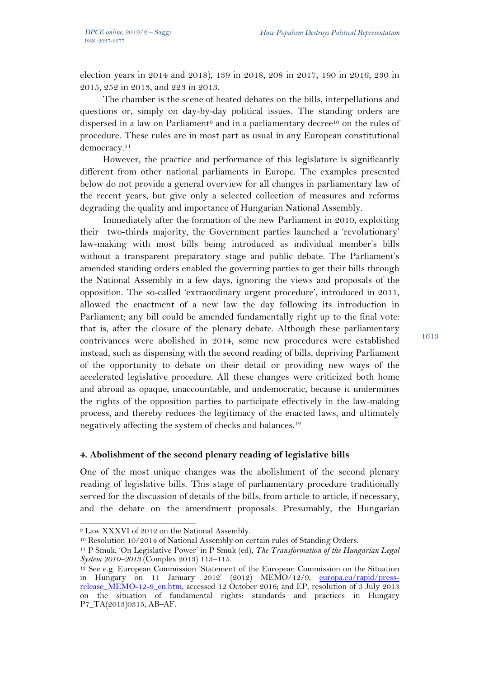election years in 2014 and 2018), 139 in 2018, 208 in 2017, 190 in 2016, 230 in 2015, 252 in 2013, and 223 in 2013.

The chamber is the scene of heated debates on the bills, interpellations and questions or, simply on day-by-day political issues. The standing orders are dispersed in a law on Parliament<sup>9</sup> and in a parliamentary decree<sup>10</sup> on the rules of procedure. These rules are in most part as usual in any European constitutional democracy.<sup>11</sup>

However, the practice and performance of this legislature is significantly different from other national parliaments in Europe. The examples presented below do not provide a general overview for all changes in parliamentary law of the recent years, but give only a selected collection of measures and reforms degrading the quality and importance of Hungarian National Assembly.

Immediately after the formation of the new Parliament in 2010, exploiting their two-thirds majority, the Government parties launched a 'revolutionary' law-making with most bills being introduced as individual member's bills without a transparent preparatory stage and public debate. The Parliament's amended standing orders enabled the governing parties to get their bills through the National Assembly in a few days, ignoring the views and proposals of the opposition. The so-called 'extraordinary urgent procedure', introduced in 2011, allowed the enactment of a new law the day following its introduction in Parliament; any bill could be amended fundamentally right up to the final vote: that is, after the closure of the plenary debate. Although these parliamentary contrivances were abolished in 2014, some new procedures were established instead, such as dispensing with the second reading of bills, depriving Parliament of the opportunity to debate on their detail or providing new ways of the accelerated legislative procedure. All these changes were criticized both home and abroad as opaque, unaccountable, and undemocratic, because it undermines the rights of the opposition parties to participate effectively in the law-making process, and thereby reduces the legitimacy of the enacted laws, and ultimately negatively affecting the system of checks and balances.12

## **4. Abolishment of the second plenary reading of legislative bills**

One of the most unique changes was the abolishment of the second plenary reading of legislative bills. This stage of parliamentary procedure traditionally served for the discussion of details of the bills, from article to article, if necessary, and the debate on the amendment proposals. Presumably, the Hungarian

 $\overline{a}$ <sup>9</sup> Law XXXVI of 2012 on the National Assembly.

<sup>&</sup>lt;sup>10</sup> Resolution 10/2014 of National Assembly on certain rules of Standing Orders.

<sup>11</sup> P Smuk, 'On Legislative Power' in P Smuk (ed), *The Transformation of the Hungarian Legal System 2010–2013* (Complex 2013) 113–115.

<sup>12</sup> See e.g. European Commission 'Statement of the European Commission on the Situation in Hungary on 11 January 2012' (2012) MEMO/12/9, europa.eu/rapid/pressrelease MEMO-12-9 en.htm, accessed 12 October 2016; and EP, resolution of 3 July 2013 on the situation of fundamental rights: standards and practices in Hungary P7\_TA(2013)0315, AB–AF.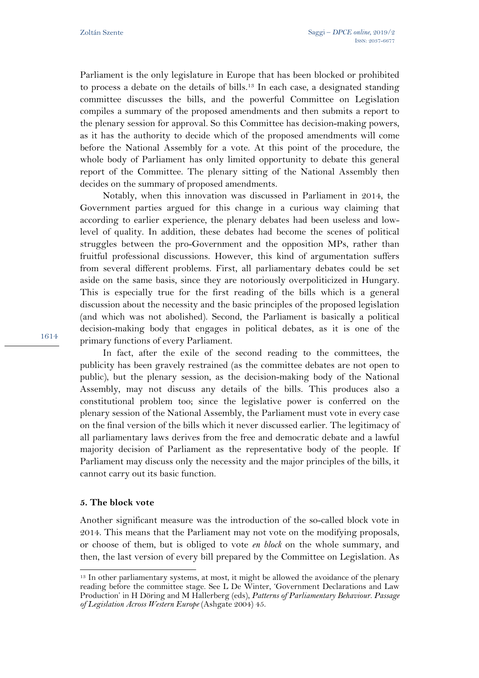Parliament is the only legislature in Europe that has been blocked or prohibited to process a debate on the details of bills.13 In each case, a designated standing committee discusses the bills, and the powerful Committee on Legislation compiles a summary of the proposed amendments and then submits a report to the plenary session for approval. So this Committee has decision-making powers, as it has the authority to decide which of the proposed amendments will come before the National Assembly for a vote. At this point of the procedure, the whole body of Parliament has only limited opportunity to debate this general report of the Committee. The plenary sitting of the National Assembly then decides on the summary of proposed amendments.

Notably, when this innovation was discussed in Parliament in 2014, the Government parties argued for this change in a curious way claiming that according to earlier experience, the plenary debates had been useless and lowlevel of quality. In addition, these debates had become the scenes of political struggles between the pro-Government and the opposition MPs, rather than fruitful professional discussions. However, this kind of argumentation suffers from several different problems. First, all parliamentary debates could be set aside on the same basis, since they are notoriously overpoliticized in Hungary. This is especially true for the first reading of the bills which is a general discussion about the necessity and the basic principles of the proposed legislation (and which was not abolished). Second, the Parliament is basically a political decision-making body that engages in political debates, as it is one of the primary functions of every Parliament.

In fact, after the exile of the second reading to the committees, the publicity has been gravely restrained (as the committee debates are not open to public), but the plenary session, as the decision-making body of the National Assembly, may not discuss any details of the bills. This produces also a constitutional problem too; since the legislative power is conferred on the plenary session of the National Assembly, the Parliament must vote in every case on the final version of the bills which it never discussed earlier. The legitimacy of all parliamentary laws derives from the free and democratic debate and a lawful majority decision of Parliament as the representative body of the people. If Parliament may discuss only the necessity and the major principles of the bills, it cannot carry out its basic function.

#### **5. The block vote**

 $\overline{a}$ 

Another significant measure was the introduction of the so-called block vote in 2014. This means that the Parliament may not vote on the modifying proposals, or choose of them, but is obliged to vote *en block* on the whole summary, and then, the last version of every bill prepared by the Committee on Legislation. As

<sup>&</sup>lt;sup>13</sup> In other parliamentary systems, at most, it might be allowed the avoidance of the plenary reading before the committee stage. See L De Winter, 'Government Declarations and Law Production' in H Döring and M Hallerberg (eds), *Patterns of Parliamentary Behaviour. Passage of Legislation Across Western Europe* (Ashgate 2004) 45.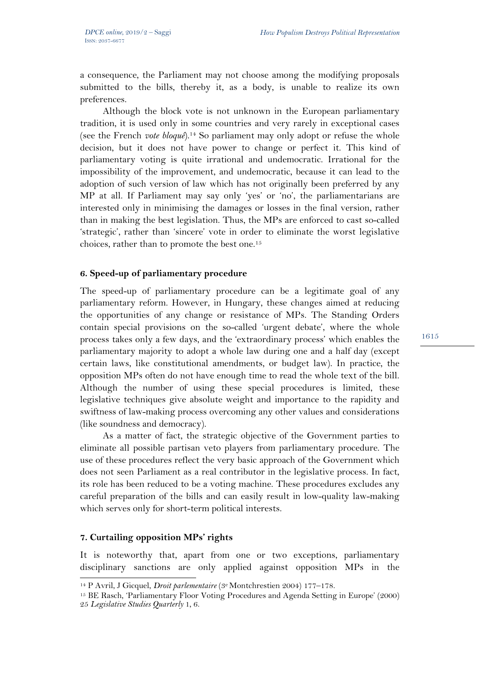a consequence, the Parliament may not choose among the modifying proposals submitted to the bills, thereby it, as a body, is unable to realize its own preferences.

Although the block vote is not unknown in the European parliamentary tradition, it is used only in some countries and very rarely in exceptional cases (see the French *vote bloqué*).14 So parliament may only adopt or refuse the whole decision, but it does not have power to change or perfect it. This kind of parliamentary voting is quite irrational and undemocratic. Irrational for the impossibility of the improvement, and undemocratic, because it can lead to the adoption of such version of law which has not originally been preferred by any MP at all. If Parliament may say only 'yes' or 'no', the parliamentarians are interested only in minimising the damages or losses in the final version, rather than in making the best legislation. Thus, the MPs are enforced to cast so-called 'strategic', rather than 'sincere' vote in order to eliminate the worst legislative choices, rather than to promote the best one.15

## **6. Speed-up of parliamentary procedure**

The speed-up of parliamentary procedure can be a legitimate goal of any parliamentary reform. However, in Hungary, these changes aimed at reducing the opportunities of any change or resistance of MPs. The Standing Orders contain special provisions on the so-called 'urgent debate', where the whole process takes only a few days, and the 'extraordinary process' which enables the parliamentary majority to adopt a whole law during one and a half day (except certain laws, like constitutional amendments, or budget law). In practice, the opposition MPs often do not have enough time to read the whole text of the bill. Although the number of using these special procedures is limited, these legislative techniques give absolute weight and importance to the rapidity and swiftness of law-making process overcoming any other values and considerations (like soundness and democracy).

As a matter of fact, the strategic objective of the Government parties to eliminate all possible partisan veto players from parliamentary procedure. The use of these procedures reflect the very basic approach of the Government which does not seen Parliament as a real contributor in the legislative process. In fact, its role has been reduced to be a voting machine. These procedures excludes any careful preparation of the bills and can easily result in low-quality law-making which serves only for short-term political interests.

## **7. Curtailing opposition MPs' rights**

It is noteworthy that, apart from one or two exceptions, parliamentary disciplinary sanctions are only applied against opposition MPs in the 14 P Avril, J Gicquel, *Droit parlementaire* (3e Montchrestien 2004) 177–178.

<sup>15</sup> BE Rasch, 'Parliamentary Floor Voting Procedures and Agenda Setting in Europe' (2000) 25 *Legislative Studies Quarterly* 1, 6.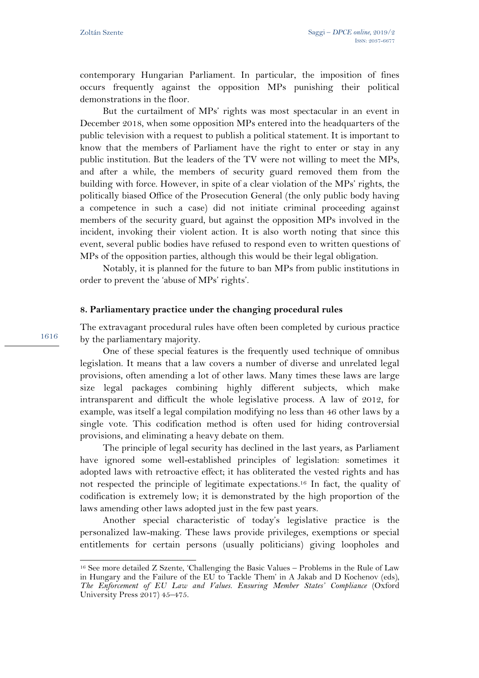contemporary Hungarian Parliament. In particular, the imposition of fines occurs frequently against the opposition MPs punishing their political demonstrations in the floor.

But the curtailment of MPs' rights was most spectacular in an event in December 2018, when some opposition MPs entered into the headquarters of the public television with a request to publish a political statement. It is important to know that the members of Parliament have the right to enter or stay in any public institution. But the leaders of the TV were not willing to meet the MPs, and after a while, the members of security guard removed them from the building with force. However, in spite of a clear violation of the MPs' rights, the politically biased Office of the Prosecution General (the only public body having a competence in such a case) did not initiate criminal proceeding against members of the security guard, but against the opposition MPs involved in the incident, invoking their violent action. It is also worth noting that since this event, several public bodies have refused to respond even to written questions of MPs of the opposition parties, although this would be their legal obligation.

Notably, it is planned for the future to ban MPs from public institutions in order to prevent the 'abuse of MPs' rights'.

#### **8. Parliamentary practice under the changing procedural rules**

The extravagant procedural rules have often been completed by curious practice by the parliamentary majority.

One of these special features is the frequently used technique of omnibus legislation. It means that a law covers a number of diverse and unrelated legal provisions, often amending a lot of other laws. Many times these laws are large size legal packages combining highly different subjects, which make intransparent and difficult the whole legislative process. A law of 2012, for example, was itself a legal compilation modifying no less than 46 other laws by a single vote. This codification method is often used for hiding controversial provisions, and eliminating a heavy debate on them.

The principle of legal security has declined in the last years, as Parliament have ignored some well-established principles of legislation: sometimes it adopted laws with retroactive effect; it has obliterated the vested rights and has not respected the principle of legitimate expectations.16 In fact, the quality of codification is extremely low; it is demonstrated by the high proportion of the laws amending other laws adopted just in the few past years.

Another special characteristic of today's legislative practice is the personalized law-making. These laws provide privileges, exemptions or special entitlements for certain persons (usually politicians) giving loopholes and

1616

 $\overline{a}$ 

<sup>16</sup> See more detailed Z Szente, 'Challenging the Basic Values – Problems in the Rule of Law in Hungary and the Failure of the EU to Tackle Them' in A Jakab and D Kochenov (eds), *The Enforcement of EU Law and Values. Ensuring Member States' Compliance* (Oxford University Press 2017) 45–475.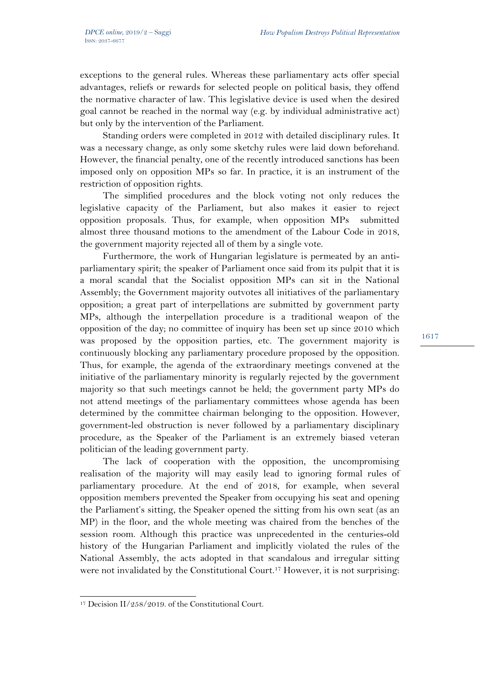exceptions to the general rules. Whereas these parliamentary acts offer special advantages, reliefs or rewards for selected people on political basis, they offend the normative character of law. This legislative device is used when the desired goal cannot be reached in the normal way (e.g. by individual administrative act) but only by the intervention of the Parliament.

Standing orders were completed in 2012 with detailed disciplinary rules. It was a necessary change, as only some sketchy rules were laid down beforehand. However, the financial penalty, one of the recently introduced sanctions has been imposed only on opposition MPs so far. In practice, it is an instrument of the restriction of opposition rights.

The simplified procedures and the block voting not only reduces the legislative capacity of the Parliament, but also makes it easier to reject opposition proposals. Thus, for example, when opposition MPs submitted almost three thousand motions to the amendment of the Labour Code in 2018, the government majority rejected all of them by a single vote.

Furthermore, the work of Hungarian legislature is permeated by an antiparliamentary spirit; the speaker of Parliament once said from its pulpit that it is a moral scandal that the Socialist opposition MPs can sit in the National Assembly; the Government majority outvotes all initiatives of the parliamentary opposition; a great part of interpellations are submitted by government party MPs, although the interpellation procedure is a traditional weapon of the opposition of the day; no committee of inquiry has been set up since 2010 which was proposed by the opposition parties, etc. The government majority is continuously blocking any parliamentary procedure proposed by the opposition. Thus, for example, the agenda of the extraordinary meetings convened at the initiative of the parliamentary minority is regularly rejected by the government majority so that such meetings cannot be held; the government party MPs do not attend meetings of the parliamentary committees whose agenda has been determined by the committee chairman belonging to the opposition. However, government-led obstruction is never followed by a parliamentary disciplinary procedure, as the Speaker of the Parliament is an extremely biased veteran politician of the leading government party.

The lack of cooperation with the opposition, the uncompromising realisation of the majority will may easily lead to ignoring formal rules of parliamentary procedure. At the end of 2018, for example, when several opposition members prevented the Speaker from occupying his seat and opening the Parliament's sitting, the Speaker opened the sitting from his own seat (as an MP) in the floor, and the whole meeting was chaired from the benches of the session room. Although this practice was unprecedented in the centuries-old history of the Hungarian Parliament and implicitly violated the rules of the National Assembly, the acts adopted in that scandalous and irregular sitting were not invalidated by the Constitutional Court.<sup>17</sup> However, it is not surprising:

l <sup>17</sup> Decision II/258/2019. of the Constitutional Court.